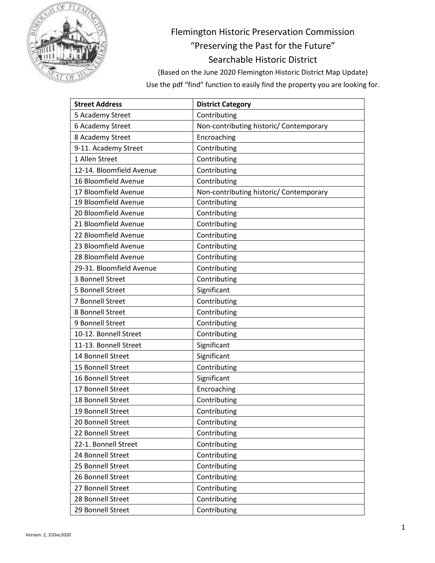

## Flemington Historic Preservation Commission "Preserving the Past for the Future" Searchable Historic District

(Based on the June 2020 Flemington Historic District Map Update) Use the pdf "find" function to easily find the property you are looking for.

| <b>Street Address</b>    | <b>District Category</b>                |
|--------------------------|-----------------------------------------|
| 5 Academy Street         | Contributing                            |
| 6 Academy Street         | Non-contributing historic/ Contemporary |
| 8 Academy Street         | Encroaching                             |
| 9-11. Academy Street     | Contributing                            |
| 1 Allen Street           | Contributing                            |
| 12-14. Bloomfield Avenue | Contributing                            |
| 16 Bloomfield Avenue     | Contributing                            |
| 17 Bloomfield Avenue     | Non-contributing historic/ Contemporary |
| 19 Bloomfield Avenue     | Contributing                            |
| 20 Bloomfield Avenue     | Contributing                            |
| 21 Bloomfield Avenue     | Contributing                            |
| 22 Bloomfield Avenue     | Contributing                            |
| 23 Bloomfield Avenue     | Contributing                            |
| 28 Bloomfield Avenue     | Contributing                            |
| 29-31. Bloomfield Avenue | Contributing                            |
| 3 Bonnell Street         | Contributing                            |
| 5 Bonnell Street         | Significant                             |
| 7 Bonnell Street         | Contributing                            |
| 8 Bonnell Street         | Contributing                            |
| 9 Bonnell Street         | Contributing                            |
| 10-12. Bonnell Street    | Contributing                            |
| 11-13. Bonnell Street    | Significant                             |
| 14 Bonnell Street        | Significant                             |
| 15 Bonnell Street        | Contributing                            |
| 16 Bonnell Street        | Significant                             |
| 17 Bonnell Street        | Encroaching                             |
| 18 Bonnell Street        | Contributing                            |
| 19 Bonnell Street        | Contributing                            |
| 20 Bonnell Street        | Contributing                            |
| 22 Bonnell Street        | Contributing                            |
| 22-1. Bonnell Street     | Contributing                            |
| 24 Bonnell Street        | Contributing                            |
| 25 Bonnell Street        | Contributing                            |
| 26 Bonnell Street        | Contributing                            |
| 27 Bonnell Street        | Contributing                            |
| 28 Bonnell Street        | Contributing                            |
| 29 Bonnell Street        | Contributing                            |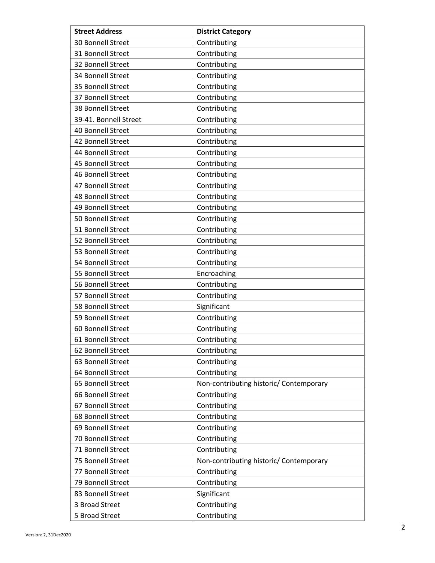| <b>Street Address</b> | <b>District Category</b>                |
|-----------------------|-----------------------------------------|
| 30 Bonnell Street     | Contributing                            |
| 31 Bonnell Street     | Contributing                            |
| 32 Bonnell Street     | Contributing                            |
| 34 Bonnell Street     | Contributing                            |
| 35 Bonnell Street     | Contributing                            |
| 37 Bonnell Street     | Contributing                            |
| 38 Bonnell Street     | Contributing                            |
| 39-41. Bonnell Street | Contributing                            |
| 40 Bonnell Street     | Contributing                            |
| 42 Bonnell Street     | Contributing                            |
| 44 Bonnell Street     | Contributing                            |
| 45 Bonnell Street     | Contributing                            |
| 46 Bonnell Street     | Contributing                            |
| 47 Bonnell Street     | Contributing                            |
| 48 Bonnell Street     | Contributing                            |
| 49 Bonnell Street     | Contributing                            |
| 50 Bonnell Street     | Contributing                            |
| 51 Bonnell Street     | Contributing                            |
| 52 Bonnell Street     | Contributing                            |
| 53 Bonnell Street     | Contributing                            |
| 54 Bonnell Street     | Contributing                            |
| 55 Bonnell Street     | Encroaching                             |
| 56 Bonnell Street     | Contributing                            |
| 57 Bonnell Street     | Contributing                            |
| 58 Bonnell Street     | Significant                             |
| 59 Bonnell Street     | Contributing                            |
| 60 Bonnell Street     | Contributing                            |
| 61 Bonnell Street     | Contributing                            |
| 62 Bonnell Street     | Contributing                            |
| 63 Bonnell Street     | Contributing                            |
| 64 Bonnell Street     | Contributing                            |
| 65 Bonnell Street     | Non-contributing historic/ Contemporary |
| 66 Bonnell Street     | Contributing                            |
| 67 Bonnell Street     | Contributing                            |
| 68 Bonnell Street     | Contributing                            |
| 69 Bonnell Street     | Contributing                            |
| 70 Bonnell Street     | Contributing                            |
| 71 Bonnell Street     | Contributing                            |
| 75 Bonnell Street     | Non-contributing historic/ Contemporary |
| 77 Bonnell Street     | Contributing                            |
| 79 Bonnell Street     | Contributing                            |
| 83 Bonnell Street     | Significant                             |
| 3 Broad Street        | Contributing                            |
| 5 Broad Street        | Contributing                            |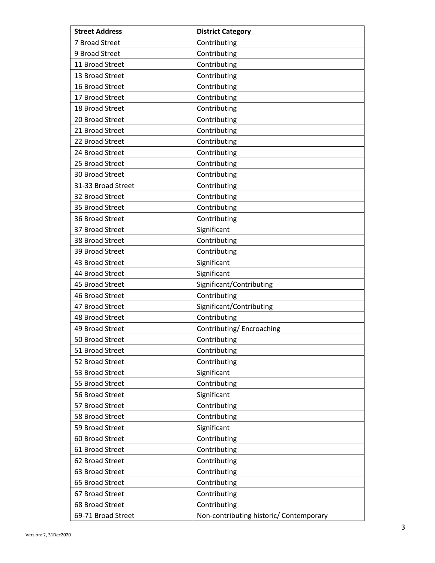| <b>Street Address</b> | <b>District Category</b>                |
|-----------------------|-----------------------------------------|
| 7 Broad Street        | Contributing                            |
| 9 Broad Street        | Contributing                            |
| 11 Broad Street       | Contributing                            |
| 13 Broad Street       | Contributing                            |
| 16 Broad Street       | Contributing                            |
| 17 Broad Street       | Contributing                            |
| 18 Broad Street       | Contributing                            |
| 20 Broad Street       | Contributing                            |
| 21 Broad Street       | Contributing                            |
| 22 Broad Street       | Contributing                            |
| 24 Broad Street       | Contributing                            |
| 25 Broad Street       | Contributing                            |
| 30 Broad Street       | Contributing                            |
| 31-33 Broad Street    | Contributing                            |
| 32 Broad Street       | Contributing                            |
| 35 Broad Street       | Contributing                            |
| 36 Broad Street       | Contributing                            |
| 37 Broad Street       | Significant                             |
| 38 Broad Street       | Contributing                            |
| 39 Broad Street       | Contributing                            |
| 43 Broad Street       | Significant                             |
| 44 Broad Street       | Significant                             |
| 45 Broad Street       | Significant/Contributing                |
| 46 Broad Street       | Contributing                            |
| 47 Broad Street       | Significant/Contributing                |
| 48 Broad Street       | Contributing                            |
| 49 Broad Street       | Contributing/Encroaching                |
| 50 Broad Street       | Contributing                            |
| 51 Broad Street       | Contributing                            |
| 52 Broad Street       | Contributing                            |
| 53 Broad Street       | Significant                             |
| 55 Broad Street       | Contributing                            |
| 56 Broad Street       | Significant                             |
| 57 Broad Street       | Contributing                            |
| 58 Broad Street       | Contributing                            |
| 59 Broad Street       | Significant                             |
| 60 Broad Street       | Contributing                            |
| 61 Broad Street       | Contributing                            |
| 62 Broad Street       | Contributing                            |
| 63 Broad Street       | Contributing                            |
| 65 Broad Street       | Contributing                            |
| 67 Broad Street       | Contributing                            |
| 68 Broad Street       | Contributing                            |
| 69-71 Broad Street    | Non-contributing historic/ Contemporary |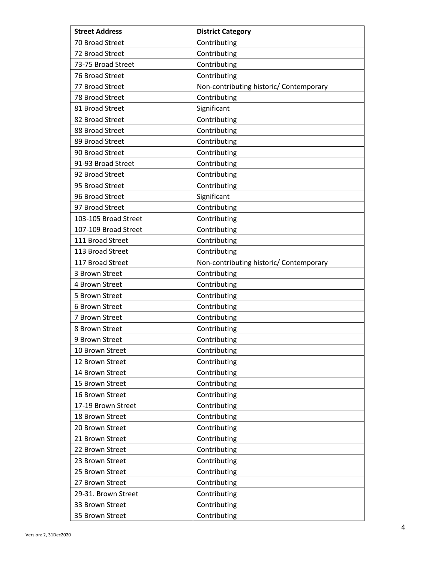| <b>Street Address</b> | <b>District Category</b>                |
|-----------------------|-----------------------------------------|
| 70 Broad Street       | Contributing                            |
| 72 Broad Street       | Contributing                            |
| 73-75 Broad Street    | Contributing                            |
| 76 Broad Street       | Contributing                            |
| 77 Broad Street       | Non-contributing historic/ Contemporary |
| 78 Broad Street       | Contributing                            |
| 81 Broad Street       | Significant                             |
| 82 Broad Street       | Contributing                            |
| 88 Broad Street       | Contributing                            |
| 89 Broad Street       | Contributing                            |
| 90 Broad Street       | Contributing                            |
| 91-93 Broad Street    | Contributing                            |
| 92 Broad Street       | Contributing                            |
| 95 Broad Street       | Contributing                            |
| 96 Broad Street       | Significant                             |
| 97 Broad Street       | Contributing                            |
| 103-105 Broad Street  | Contributing                            |
| 107-109 Broad Street  | Contributing                            |
| 111 Broad Street      | Contributing                            |
| 113 Broad Street      | Contributing                            |
| 117 Broad Street      | Non-contributing historic/ Contemporary |
| 3 Brown Street        | Contributing                            |
| 4 Brown Street        | Contributing                            |
| 5 Brown Street        | Contributing                            |
| 6 Brown Street        | Contributing                            |
| 7 Brown Street        | Contributing                            |
| 8 Brown Street        | Contributing                            |
| 9 Brown Street        | Contributing                            |
| 10 Brown Street       | Contributing                            |
| 12 Brown Street       | Contributing                            |
| 14 Brown Street       | Contributing                            |
| 15 Brown Street       | Contributing                            |
| 16 Brown Street       | Contributing                            |
| 17-19 Brown Street    | Contributing                            |
| 18 Brown Street       | Contributing                            |
| 20 Brown Street       | Contributing                            |
| 21 Brown Street       | Contributing                            |
| 22 Brown Street       | Contributing                            |
| 23 Brown Street       | Contributing                            |
| 25 Brown Street       | Contributing                            |
| 27 Brown Street       | Contributing                            |
| 29-31. Brown Street   | Contributing                            |
| 33 Brown Street       | Contributing                            |
| 35 Brown Street       | Contributing                            |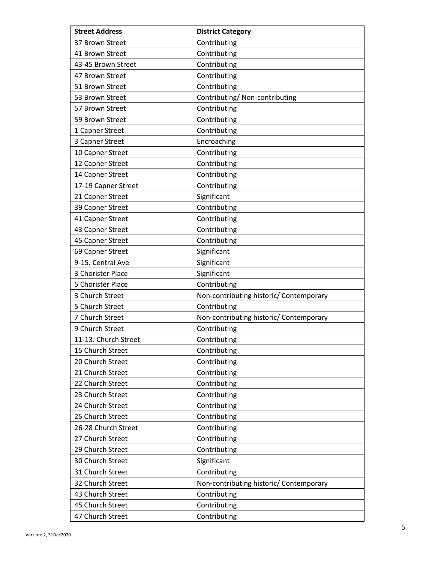| <b>Street Address</b> | <b>District Category</b>                |
|-----------------------|-----------------------------------------|
| 37 Brown Street       | Contributing                            |
| 41 Brown Street       | Contributing                            |
| 43-45 Brown Street    | Contributing                            |
| 47 Brown Street       | Contributing                            |
| 51 Brown Street       | Contributing                            |
| 53 Brown Street       | Contributing/ Non-contributing          |
| 57 Brown Street       | Contributing                            |
| 59 Brown Street       | Contributing                            |
| 1 Capner Street       | Contributing                            |
| 3 Capner Street       | Encroaching                             |
| 10 Capner Street      | Contributing                            |
| 12 Capner Street      | Contributing                            |
| 14 Capner Street      | Contributing                            |
| 17-19 Capner Street   | Contributing                            |
| 21 Capner Street      | Significant                             |
| 39 Capner Street      | Contributing                            |
| 41 Capner Street      | Contributing                            |
| 43 Capner Street      | Contributing                            |
| 45 Capner Street      | Contributing                            |
| 69 Capner Street      | Significant                             |
| 9-15. Central Ave     | Significant                             |
| 3 Chorister Place     | Significant                             |
| 5 Chorister Place     | Contributing                            |
| 3 Church Street       | Non-contributing historic/ Contemporary |
| 5 Church Street       | Contributing                            |
| 7 Church Street       | Non-contributing historic/ Contemporary |
| 9 Church Street       | Contributing                            |
| 11-13. Church Street  | Contributing                            |
| 15 Church Street      | Contributing                            |
| 20 Church Street      | Contributing                            |
| 21 Church Street      | Contributing                            |
| 22 Church Street      | Contributing                            |
| 23 Church Street      | Contributing                            |
| 24 Church Street      | Contributing                            |
| 25 Church Street      | Contributing                            |
| 26-28 Church Street   | Contributing                            |
| 27 Church Street      | Contributing                            |
| 29 Church Street      | Contributing                            |
| 30 Church Street      | Significant                             |
| 31 Church Street      | Contributing                            |
| 32 Church Street      | Non-contributing historic/ Contemporary |
| 43 Church Street      | Contributing                            |
| 45 Church Street      | Contributing                            |
| 47 Church Street      | Contributing                            |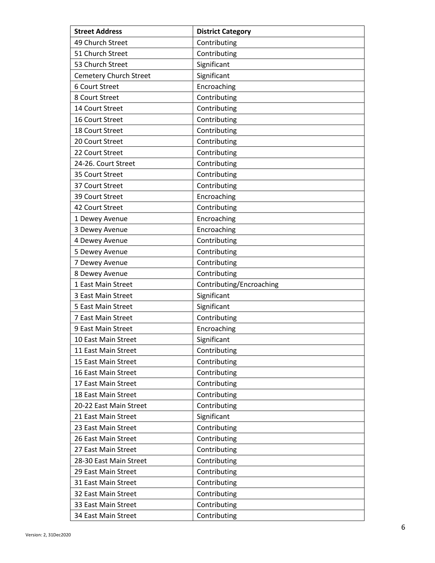| <b>Street Address</b>         | <b>District Category</b> |
|-------------------------------|--------------------------|
| 49 Church Street              | Contributing             |
| 51 Church Street              | Contributing             |
| 53 Church Street              | Significant              |
| <b>Cemetery Church Street</b> | Significant              |
| 6 Court Street                | Encroaching              |
| 8 Court Street                | Contributing             |
| 14 Court Street               | Contributing             |
| 16 Court Street               | Contributing             |
| 18 Court Street               | Contributing             |
| 20 Court Street               | Contributing             |
| 22 Court Street               | Contributing             |
| 24-26. Court Street           | Contributing             |
| 35 Court Street               | Contributing             |
| 37 Court Street               | Contributing             |
| 39 Court Street               | Encroaching              |
| 42 Court Street               | Contributing             |
| 1 Dewey Avenue                | Encroaching              |
| 3 Dewey Avenue                | Encroaching              |
| 4 Dewey Avenue                | Contributing             |
| 5 Dewey Avenue                | Contributing             |
| 7 Dewey Avenue                | Contributing             |
| 8 Dewey Avenue                | Contributing             |
| 1 East Main Street            | Contributing/Encroaching |
| 3 East Main Street            | Significant              |
| 5 East Main Street            | Significant              |
| 7 East Main Street            | Contributing             |
| 9 East Main Street            | Encroaching              |
| 10 East Main Street           | Significant              |
| 11 East Main Street           | Contributing             |
| 15 East Main Street           | Contributing             |
| 16 East Main Street           | Contributing             |
| 17 East Main Street           | Contributing             |
| 18 East Main Street           | Contributing             |
| 20-22 East Main Street        | Contributing             |
| 21 East Main Street           | Significant              |
| 23 East Main Street           | Contributing             |
| 26 East Main Street           | Contributing             |
| 27 East Main Street           | Contributing             |
| 28-30 East Main Street        | Contributing             |
| 29 East Main Street           | Contributing             |
| 31 East Main Street           | Contributing             |
| 32 East Main Street           | Contributing             |
| 33 East Main Street           | Contributing             |
| 34 East Main Street           | Contributing             |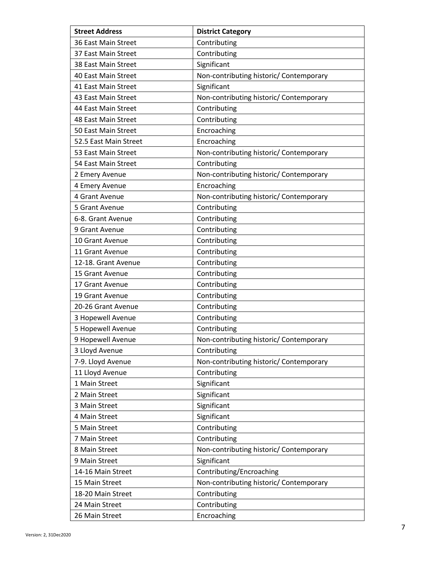| <b>Street Address</b> | <b>District Category</b>                |
|-----------------------|-----------------------------------------|
| 36 East Main Street   | Contributing                            |
| 37 East Main Street   | Contributing                            |
| 38 East Main Street   | Significant                             |
| 40 East Main Street   | Non-contributing historic/ Contemporary |
| 41 East Main Street   | Significant                             |
| 43 East Main Street   | Non-contributing historic/ Contemporary |
| 44 East Main Street   | Contributing                            |
| 48 East Main Street   | Contributing                            |
| 50 East Main Street   | Encroaching                             |
| 52.5 East Main Street | Encroaching                             |
| 53 East Main Street   | Non-contributing historic/ Contemporary |
| 54 East Main Street   | Contributing                            |
| 2 Emery Avenue        | Non-contributing historic/ Contemporary |
| 4 Emery Avenue        | Encroaching                             |
| 4 Grant Avenue        | Non-contributing historic/ Contemporary |
| 5 Grant Avenue        | Contributing                            |
| 6-8. Grant Avenue     | Contributing                            |
| 9 Grant Avenue        | Contributing                            |
| 10 Grant Avenue       | Contributing                            |
| 11 Grant Avenue       | Contributing                            |
| 12-18. Grant Avenue   | Contributing                            |
| 15 Grant Avenue       | Contributing                            |
| 17 Grant Avenue       | Contributing                            |
| 19 Grant Avenue       | Contributing                            |
| 20-26 Grant Avenue    | Contributing                            |
| 3 Hopewell Avenue     | Contributing                            |
| 5 Hopewell Avenue     | Contributing                            |
| 9 Hopewell Avenue     | Non-contributing historic/ Contemporary |
| 3 Lloyd Avenue        | Contributing                            |
| 7-9. Lloyd Avenue     | Non-contributing historic/ Contemporary |
| 11 Lloyd Avenue       | Contributing                            |
| 1 Main Street         | Significant                             |
| 2 Main Street         | Significant                             |
| 3 Main Street         | Significant                             |
| 4 Main Street         | Significant                             |
| 5 Main Street         | Contributing                            |
| 7 Main Street         | Contributing                            |
| 8 Main Street         | Non-contributing historic/ Contemporary |
| 9 Main Street         | Significant                             |
| 14-16 Main Street     | Contributing/Encroaching                |
| 15 Main Street        | Non-contributing historic/ Contemporary |
| 18-20 Main Street     | Contributing                            |
| 24 Main Street        | Contributing                            |
| 26 Main Street        | Encroaching                             |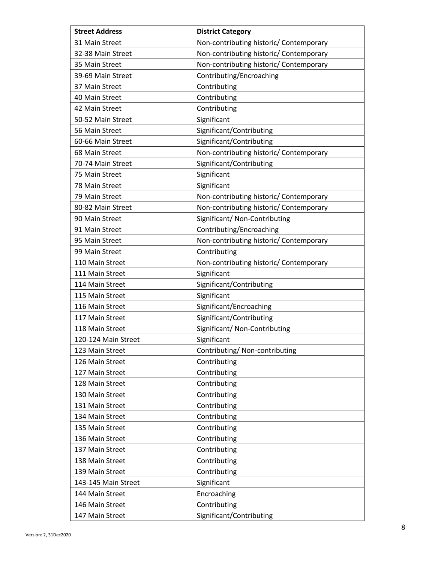| <b>Street Address</b> | <b>District Category</b>                |
|-----------------------|-----------------------------------------|
| 31 Main Street        | Non-contributing historic/ Contemporary |
| 32-38 Main Street     | Non-contributing historic/ Contemporary |
| 35 Main Street        | Non-contributing historic/ Contemporary |
| 39-69 Main Street     | Contributing/Encroaching                |
| 37 Main Street        | Contributing                            |
| 40 Main Street        | Contributing                            |
| 42 Main Street        | Contributing                            |
| 50-52 Main Street     | Significant                             |
| 56 Main Street        | Significant/Contributing                |
| 60-66 Main Street     | Significant/Contributing                |
| 68 Main Street        | Non-contributing historic/ Contemporary |
| 70-74 Main Street     | Significant/Contributing                |
| 75 Main Street        | Significant                             |
| 78 Main Street        | Significant                             |
| 79 Main Street        | Non-contributing historic/ Contemporary |
| 80-82 Main Street     | Non-contributing historic/ Contemporary |
| 90 Main Street        | Significant/ Non-Contributing           |
| 91 Main Street        | Contributing/Encroaching                |
| 95 Main Street        | Non-contributing historic/ Contemporary |
| 99 Main Street        | Contributing                            |
| 110 Main Street       | Non-contributing historic/ Contemporary |
| 111 Main Street       | Significant                             |
| 114 Main Street       | Significant/Contributing                |
| 115 Main Street       | Significant                             |
| 116 Main Street       | Significant/Encroaching                 |
| 117 Main Street       | Significant/Contributing                |
| 118 Main Street       | Significant/ Non-Contributing           |
| 120-124 Main Street   | Significant                             |
| 123 Main Street       | Contributing/Non-contributing           |
| 126 Main Street       | Contributing                            |
| 127 Main Street       | Contributing                            |
| 128 Main Street       | Contributing                            |
| 130 Main Street       | Contributing                            |
| 131 Main Street       | Contributing                            |
| 134 Main Street       | Contributing                            |
| 135 Main Street       | Contributing                            |
| 136 Main Street       | Contributing                            |
| 137 Main Street       | Contributing                            |
| 138 Main Street       | Contributing                            |
| 139 Main Street       | Contributing                            |
| 143-145 Main Street   | Significant                             |
| 144 Main Street       | Encroaching                             |
| 146 Main Street       | Contributing                            |
| 147 Main Street       | Significant/Contributing                |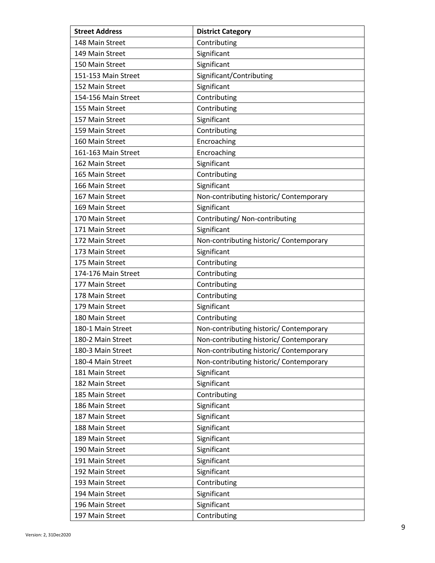| <b>Street Address</b> | <b>District Category</b>                |
|-----------------------|-----------------------------------------|
| 148 Main Street       | Contributing                            |
| 149 Main Street       | Significant                             |
| 150 Main Street       | Significant                             |
| 151-153 Main Street   | Significant/Contributing                |
| 152 Main Street       | Significant                             |
| 154-156 Main Street   | Contributing                            |
| 155 Main Street       | Contributing                            |
| 157 Main Street       | Significant                             |
| 159 Main Street       | Contributing                            |
| 160 Main Street       | Encroaching                             |
| 161-163 Main Street   | Encroaching                             |
| 162 Main Street       | Significant                             |
| 165 Main Street       | Contributing                            |
| 166 Main Street       | Significant                             |
| 167 Main Street       | Non-contributing historic/ Contemporary |
| 169 Main Street       | Significant                             |
| 170 Main Street       | Contributing/ Non-contributing          |
| 171 Main Street       | Significant                             |
| 172 Main Street       | Non-contributing historic/ Contemporary |
| 173 Main Street       | Significant                             |
| 175 Main Street       | Contributing                            |
| 174-176 Main Street   | Contributing                            |
| 177 Main Street       | Contributing                            |
| 178 Main Street       | Contributing                            |
| 179 Main Street       | Significant                             |
| 180 Main Street       | Contributing                            |
| 180-1 Main Street     | Non-contributing historic/ Contemporary |
| 180-2 Main Street     | Non-contributing historic/ Contemporary |
| 180-3 Main Street     | Non-contributing historic/ Contemporary |
| 180-4 Main Street     | Non-contributing historic/ Contemporary |
| 181 Main Street       | Significant                             |
| 182 Main Street       | Significant                             |
| 185 Main Street       | Contributing                            |
| 186 Main Street       | Significant                             |
| 187 Main Street       | Significant                             |
| 188 Main Street       | Significant                             |
| 189 Main Street       | Significant                             |
| 190 Main Street       | Significant                             |
| 191 Main Street       | Significant                             |
| 192 Main Street       | Significant                             |
| 193 Main Street       | Contributing                            |
| 194 Main Street       | Significant                             |
| 196 Main Street       | Significant                             |
| 197 Main Street       | Contributing                            |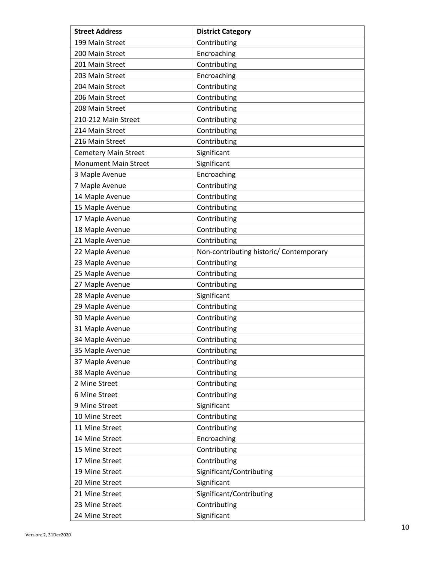| <b>Street Address</b>       | <b>District Category</b>                |
|-----------------------------|-----------------------------------------|
| 199 Main Street             | Contributing                            |
| 200 Main Street             | Encroaching                             |
| 201 Main Street             | Contributing                            |
| 203 Main Street             | Encroaching                             |
| 204 Main Street             | Contributing                            |
| 206 Main Street             | Contributing                            |
| 208 Main Street             | Contributing                            |
| 210-212 Main Street         | Contributing                            |
| 214 Main Street             | Contributing                            |
| 216 Main Street             | Contributing                            |
| <b>Cemetery Main Street</b> | Significant                             |
| <b>Monument Main Street</b> | Significant                             |
| 3 Maple Avenue              | Encroaching                             |
| 7 Maple Avenue              | Contributing                            |
| 14 Maple Avenue             | Contributing                            |
| 15 Maple Avenue             | Contributing                            |
| 17 Maple Avenue             | Contributing                            |
| 18 Maple Avenue             | Contributing                            |
| 21 Maple Avenue             | Contributing                            |
| 22 Maple Avenue             | Non-contributing historic/ Contemporary |
| 23 Maple Avenue             | Contributing                            |
| 25 Maple Avenue             | Contributing                            |
| 27 Maple Avenue             | Contributing                            |
| 28 Maple Avenue             | Significant                             |
| 29 Maple Avenue             | Contributing                            |
| 30 Maple Avenue             | Contributing                            |
| 31 Maple Avenue             | Contributing                            |
| 34 Maple Avenue             | Contributing                            |
| 35 Maple Avenue             | Contributing                            |
| 37 Maple Avenue             | Contributing                            |
| 38 Maple Avenue             | Contributing                            |
| 2 Mine Street               | Contributing                            |
| 6 Mine Street               | Contributing                            |
| 9 Mine Street               | Significant                             |
| 10 Mine Street              | Contributing                            |
| 11 Mine Street              | Contributing                            |
| 14 Mine Street              | Encroaching                             |
| 15 Mine Street              | Contributing                            |
| 17 Mine Street              | Contributing                            |
| 19 Mine Street              | Significant/Contributing                |
| 20 Mine Street              | Significant                             |
| 21 Mine Street              | Significant/Contributing                |
| 23 Mine Street              | Contributing                            |
| 24 Mine Street              | Significant                             |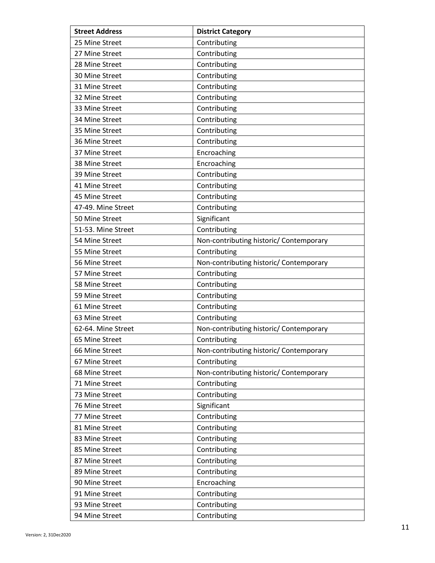| <b>Street Address</b> | <b>District Category</b>                |
|-----------------------|-----------------------------------------|
| 25 Mine Street        | Contributing                            |
| 27 Mine Street        | Contributing                            |
| 28 Mine Street        | Contributing                            |
| 30 Mine Street        | Contributing                            |
| 31 Mine Street        | Contributing                            |
| 32 Mine Street        | Contributing                            |
| 33 Mine Street        | Contributing                            |
| 34 Mine Street        | Contributing                            |
| 35 Mine Street        | Contributing                            |
| 36 Mine Street        | Contributing                            |
| 37 Mine Street        | Encroaching                             |
| 38 Mine Street        | Encroaching                             |
| 39 Mine Street        | Contributing                            |
| 41 Mine Street        | Contributing                            |
| 45 Mine Street        | Contributing                            |
| 47-49. Mine Street    | Contributing                            |
| 50 Mine Street        | Significant                             |
| 51-53. Mine Street    | Contributing                            |
| 54 Mine Street        | Non-contributing historic/ Contemporary |
| 55 Mine Street        | Contributing                            |
| 56 Mine Street        | Non-contributing historic/ Contemporary |
| 57 Mine Street        | Contributing                            |
| 58 Mine Street        | Contributing                            |
| 59 Mine Street        | Contributing                            |
| 61 Mine Street        | Contributing                            |
| 63 Mine Street        | Contributing                            |
| 62-64. Mine Street    | Non-contributing historic/ Contemporary |
| 65 Mine Street        | Contributing                            |
| 66 Mine Street        | Non-contributing historic/ Contemporary |
| 67 Mine Street        | Contributing                            |
| 68 Mine Street        | Non-contributing historic/ Contemporary |
| 71 Mine Street        | Contributing                            |
| 73 Mine Street        | Contributing                            |
| 76 Mine Street        | Significant                             |
| 77 Mine Street        | Contributing                            |
| 81 Mine Street        | Contributing                            |
| 83 Mine Street        | Contributing                            |
| 85 Mine Street        | Contributing                            |
| 87 Mine Street        | Contributing                            |
| 89 Mine Street        | Contributing                            |
| 90 Mine Street        | Encroaching                             |
| 91 Mine Street        | Contributing                            |
| 93 Mine Street        | Contributing                            |
| 94 Mine Street        | Contributing                            |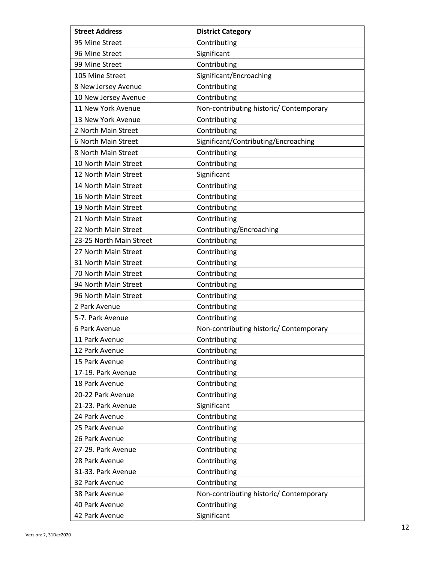| <b>Street Address</b>   | <b>District Category</b>                |
|-------------------------|-----------------------------------------|
| 95 Mine Street          | Contributing                            |
| 96 Mine Street          | Significant                             |
| 99 Mine Street          | Contributing                            |
| 105 Mine Street         | Significant/Encroaching                 |
| 8 New Jersey Avenue     | Contributing                            |
| 10 New Jersey Avenue    | Contributing                            |
| 11 New York Avenue      | Non-contributing historic/ Contemporary |
| 13 New York Avenue      | Contributing                            |
| 2 North Main Street     | Contributing                            |
| 6 North Main Street     | Significant/Contributing/Encroaching    |
| 8 North Main Street     | Contributing                            |
| 10 North Main Street    | Contributing                            |
| 12 North Main Street    | Significant                             |
| 14 North Main Street    | Contributing                            |
| 16 North Main Street    | Contributing                            |
| 19 North Main Street    | Contributing                            |
| 21 North Main Street    | Contributing                            |
| 22 North Main Street    | Contributing/Encroaching                |
| 23-25 North Main Street | Contributing                            |
| 27 North Main Street    | Contributing                            |
| 31 North Main Street    | Contributing                            |
| 70 North Main Street    | Contributing                            |
| 94 North Main Street    | Contributing                            |
| 96 North Main Street    | Contributing                            |
| 2 Park Avenue           | Contributing                            |
| 5-7. Park Avenue        | Contributing                            |
| 6 Park Avenue           | Non-contributing historic/ Contemporary |
| 11 Park Avenue          | Contributing                            |
| 12 Park Avenue          | Contributing                            |
| 15 Park Avenue          | Contributing                            |
| 17-19. Park Avenue      | Contributing                            |
| 18 Park Avenue          | Contributing                            |
| 20-22 Park Avenue       | Contributing                            |
| 21-23. Park Avenue      | Significant                             |
| 24 Park Avenue          | Contributing                            |
| 25 Park Avenue          | Contributing                            |
| 26 Park Avenue          | Contributing                            |
| 27-29. Park Avenue      | Contributing                            |
| 28 Park Avenue          | Contributing                            |
| 31-33. Park Avenue      | Contributing                            |
| 32 Park Avenue          | Contributing                            |
| 38 Park Avenue          | Non-contributing historic/ Contemporary |
| 40 Park Avenue          | Contributing                            |
| 42 Park Avenue          | Significant                             |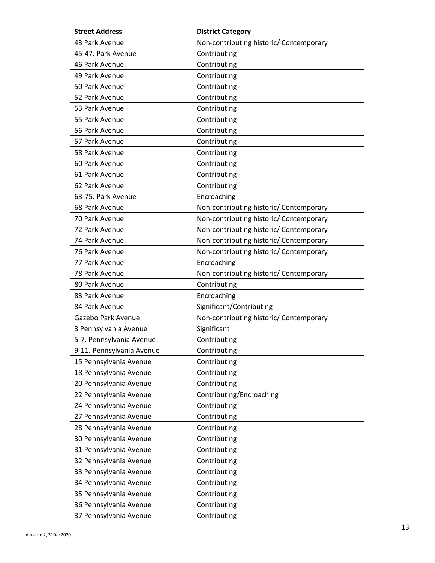| <b>Street Address</b>     | <b>District Category</b>                |
|---------------------------|-----------------------------------------|
| 43 Park Avenue            | Non-contributing historic/ Contemporary |
| 45-47. Park Avenue        | Contributing                            |
| 46 Park Avenue            | Contributing                            |
| 49 Park Avenue            | Contributing                            |
| 50 Park Avenue            | Contributing                            |
| 52 Park Avenue            | Contributing                            |
| 53 Park Avenue            | Contributing                            |
| 55 Park Avenue            | Contributing                            |
| 56 Park Avenue            | Contributing                            |
| 57 Park Avenue            | Contributing                            |
| 58 Park Avenue            | Contributing                            |
| 60 Park Avenue            | Contributing                            |
| 61 Park Avenue            | Contributing                            |
| 62 Park Avenue            | Contributing                            |
| 63-75. Park Avenue        | Encroaching                             |
| 68 Park Avenue            | Non-contributing historic/ Contemporary |
| 70 Park Avenue            | Non-contributing historic/ Contemporary |
| 72 Park Avenue            | Non-contributing historic/ Contemporary |
| 74 Park Avenue            | Non-contributing historic/ Contemporary |
| 76 Park Avenue            | Non-contributing historic/ Contemporary |
| 77 Park Avenue            | Encroaching                             |
| 78 Park Avenue            | Non-contributing historic/ Contemporary |
| 80 Park Avenue            | Contributing                            |
| 83 Park Avenue            | Encroaching                             |
| 84 Park Avenue            | Significant/Contributing                |
| Gazebo Park Avenue        | Non-contributing historic/ Contemporary |
| 3 Pennsylvania Avenue     | Significant                             |
| 5-7. Pennsylvania Avenue  | Contributing                            |
| 9-11. Pennsylvania Avenue | Contributing                            |
| 15 Pennsylvania Avenue    | Contributing                            |
| 18 Pennsylvania Avenue    | Contributing                            |
| 20 Pennsylvania Avenue    | Contributing                            |
| 22 Pennsylvania Avenue    | Contributing/Encroaching                |
| 24 Pennsylvania Avenue    | Contributing                            |
| 27 Pennsylvania Avenue    | Contributing                            |
| 28 Pennsylvania Avenue    | Contributing                            |
| 30 Pennsylvania Avenue    | Contributing                            |
| 31 Pennsylvania Avenue    | Contributing                            |
| 32 Pennsylvania Avenue    | Contributing                            |
| 33 Pennsylvania Avenue    | Contributing                            |
| 34 Pennsylvania Avenue    | Contributing                            |
| 35 Pennsylvania Avenue    | Contributing                            |
| 36 Pennsylvania Avenue    | Contributing                            |
| 37 Pennsylvania Avenue    | Contributing                            |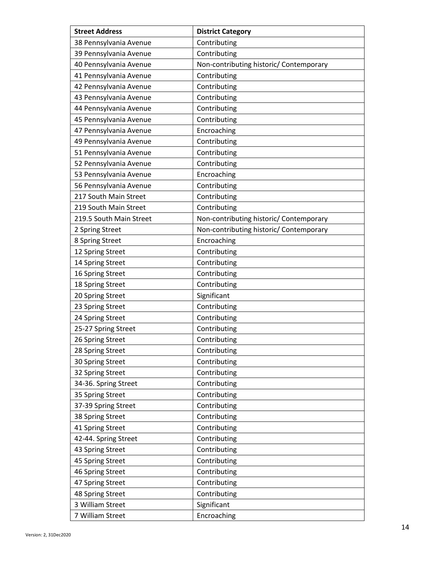| <b>Street Address</b>   | <b>District Category</b>                |
|-------------------------|-----------------------------------------|
| 38 Pennsylvania Avenue  | Contributing                            |
| 39 Pennsylvania Avenue  | Contributing                            |
| 40 Pennsylvania Avenue  | Non-contributing historic/ Contemporary |
| 41 Pennsylvania Avenue  | Contributing                            |
| 42 Pennsylvania Avenue  | Contributing                            |
| 43 Pennsylvania Avenue  | Contributing                            |
| 44 Pennsylvania Avenue  | Contributing                            |
| 45 Pennsylvania Avenue  | Contributing                            |
| 47 Pennsylvania Avenue  | Encroaching                             |
| 49 Pennsylvania Avenue  | Contributing                            |
| 51 Pennsylvania Avenue  | Contributing                            |
| 52 Pennsylvania Avenue  | Contributing                            |
| 53 Pennsylvania Avenue  | Encroaching                             |
| 56 Pennsylvania Avenue  | Contributing                            |
| 217 South Main Street   | Contributing                            |
| 219 South Main Street   | Contributing                            |
| 219.5 South Main Street | Non-contributing historic/ Contemporary |
| 2 Spring Street         | Non-contributing historic/ Contemporary |
| 8 Spring Street         | Encroaching                             |
| 12 Spring Street        | Contributing                            |
| 14 Spring Street        | Contributing                            |
| 16 Spring Street        | Contributing                            |
| 18 Spring Street        | Contributing                            |
| 20 Spring Street        | Significant                             |
| 23 Spring Street        | Contributing                            |
| 24 Spring Street        | Contributing                            |
| 25-27 Spring Street     | Contributing                            |
| 26 Spring Street        | Contributing                            |
| 28 Spring Street        | Contributing                            |
| 30 Spring Street        | Contributing                            |
| 32 Spring Street        | Contributing                            |
| 34-36. Spring Street    | Contributing                            |
| 35 Spring Street        | Contributing                            |
| 37-39 Spring Street     | Contributing                            |
| 38 Spring Street        | Contributing                            |
| 41 Spring Street        | Contributing                            |
| 42-44. Spring Street    | Contributing                            |
| 43 Spring Street        | Contributing                            |
| 45 Spring Street        | Contributing                            |
| 46 Spring Street        | Contributing                            |
| 47 Spring Street        | Contributing                            |
| 48 Spring Street        | Contributing                            |
| 3 William Street        | Significant                             |
| 7 William Street        | Encroaching                             |